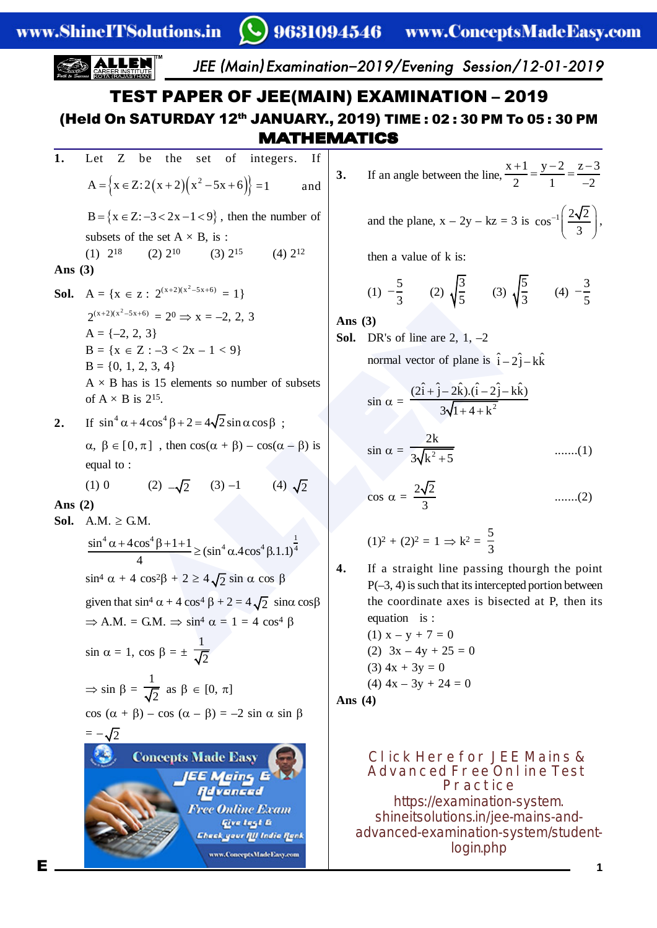### $\left(\bigcup\right)$  9631094546 – www.ConceptsMadeEasy.com JEE (Main ) Examination–2019/Evening Session/12-01-2019 TEST PAPER OF JEE(MAIN) EXAMINATION – 2019 (Held On SATURDAY 12<sup>th</sup> JANUARY., 2019) TIME: 02: 30 PM To 05: 30 PM MATHEMATICS **1.** Let Z be the set of integers. If  $x+1$   $y-2$   $z-3$  $\frac{+1}{-} = \frac{y-2}{-} = \frac{z-1}{-}$ **3.** If an angle between the line,  ${A = \{x \in Z: 2(x + 2)(x^2 - 5x + 6)\} = 1}$  and 2 1  $-2$ -  $\left(\frac{2\sqrt{2}}{3}\right),$ and the plane,  $x - 2y - kz = 3$  is  $\cos^{-1} \left( \frac{2\sqrt{2}}{2} \right)$  $B = \{x \in \mathbb{Z} : -3 < 2x - 1 < 9\}$ , then the number of ,  $\left( \begin{array}{c} 3 \end{array} \right)$ subsets of the set  $A \times B$ , is: (1)  $2^{18}$  (2)  $2^{10}$  (3)  $2^{15}$  (4)  $2^{12}$ then a value of k is: **Ans (3)** (1)  $-\frac{5}{3}$  (2)  $\sqrt{\frac{3}{5}}$  (3)  $\sqrt{\frac{5}{3}}$  (4)  $-\frac{3}{5}$ **Sol.**  $A = \{x \in \mathbb{Z} : 2^{(x+2)(x^2-5x+6)} = 1\}$ ALLEND and  $\alpha$  is  $\begin{cases}\n3 & 3 \\
2 & 3 \\
2 & -3 & < 2x - 1 < 9\n\end{cases}$ <br>
Alternative and  $\alpha$  and  $\alpha$  is  $\frac{215}{3}$ .<br>
Alternative solution is  $\hat{i} - 2\hat{j} - 2\hat{k}$ .<br>
Alternative solution is  $\hat{i} - 2\hat{j} - 2\hat{k}$ .<br>
is  $2^{15}$ .<br>  $\there$  $2^{(x+2)(x^2-5x+6)} = 2^0 \Rightarrow x = -2, 2, 3$ **Ans (3)**  $A = \{-2, 2, 3\}$ **Sol.** DR's of line are 2, 1, -2  $B = \{x \in Z : -3 < 2x - 1 < 9\}$ normal vector of plane is  $\hat{i} - 2\hat{j} - k\hat{k}$  $B = \{0, 1, 2, 3, 4\}$  $A \times B$  has is 15 elements so number of subsets  $(2\hat{i} + \hat{j} - 2\hat{k}) \cdot (\hat{i} - 2\hat{j} - k\hat{k})$ + of  $A \times B$  is 2<sup>15</sup>.  $\sin \alpha = \frac{3}{2\sqrt{1+4+1^2}}$  $3\sqrt{1} + 4 + k$  $+ 4 + 1$ 2. If  $\sin^4 \alpha + 4\cos^4 \beta + 2 = 4\sqrt{2} \sin \alpha \cos \beta$ : 2k  $\alpha, \beta \in [0, \pi]$ , then  $\cos(\alpha + \beta) - \cos(\alpha - \beta)$  is  $\sin \alpha = \frac{1}{2\sqrt{\ln^2{2}}}$ .......(1)  $3\sqrt{k^2+5}$ equal to : (4)  $\sqrt{2}$  $(1)$  0  $-\sqrt{2}$  (3) -1 (4)  $\cos \alpha = \frac{2\sqrt{2}}{3}$ .......(2) **Ans (2)** Sol.  $A.M. \geq G.M.$  $(1)^2 + (2)^2 = 1 \Rightarrow k^2 = \frac{5}{3}$  $^{4}$  e  $^{1}$   $^{0}$   $^{4}$   $^{0}$   $^{1}$   $^{1}$   $^{1}$  $\frac{\sin^4 \alpha + 4\cos^4 \beta + 1 + 1}{4} \ge (\sin^4 \alpha.4\cos^4 \beta.1.1)^{\frac{1}{4}}$ **4.** If a straight line passing thourgh the point  $\sin^4 \alpha + 4 \cos^2 \beta + 2 \ge 4 \sqrt{2} \sin \alpha \cos \beta$  $P(-3, 4)$  is such that its intercepted portion between the coordinate axes is bisected at P, then its given that  $\sin^4 \alpha + 4 \cos^4 \beta + 2 = 4\sqrt{2} \sin \alpha \cos \beta$ equation is :  $\Rightarrow$  A.M. = G.M.  $\Rightarrow$  sin<sup>4</sup>  $\alpha$  = 1 = 4 cos<sup>4</sup>  $\beta$ (1)  $x - y + 7 = 0$  $\sin \alpha = 1$ ,  $\cos \beta = \pm \frac{1}{\sqrt{2}}$ (2)  $3x - 4y + 25 = 0$

$$
\Rightarrow \sin \beta = \frac{1}{\sqrt{2}} \text{ as } \beta \in [0, \pi]
$$
  
 
$$
\cos (\alpha + \beta) - \cos (\alpha - \beta) = -2 \sin \alpha \sin \beta
$$



 $(3)$  4x + 3y = 0 (4)  $4x - 3y + 24 = 0$ **Ans (4)**

> **Click Here for JEE Mains & Advanced Free Online Test Practice** [https://examination](https://examination-system.shineitsolutions.in/jee-mains-and-advanced-examination-system/student-login.php) -system. shineitsolutions.in /jee -mains -and advanced-examination-system/studentlogin.php

**1**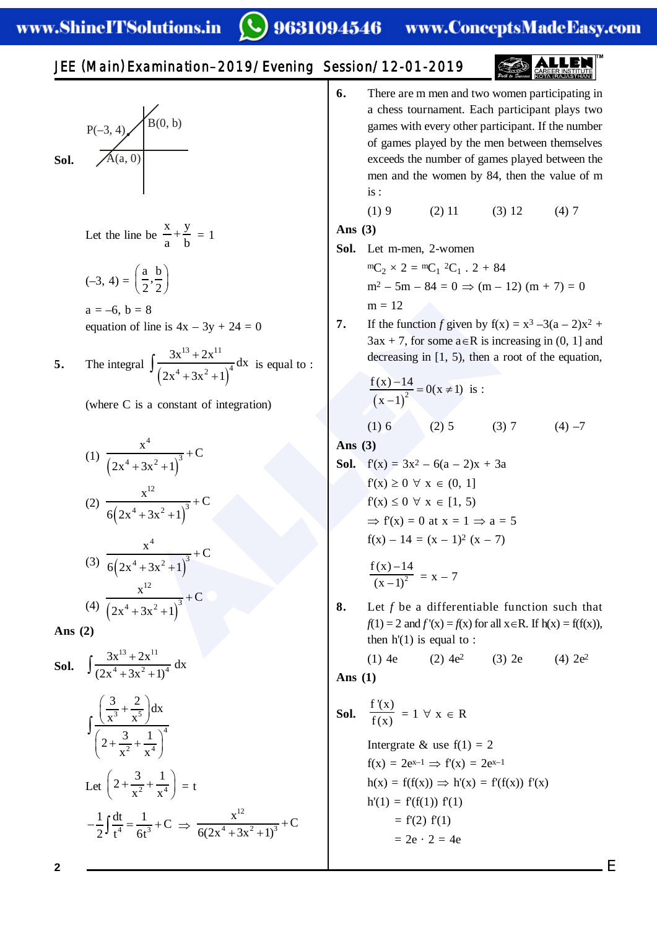# 9631094546 www.ConceptsMadeEasy.com

# JEE (Main ) Examination–2019/Evening Session/12-01-2019



Let the line be 
$$
\frac{x}{a} + \frac{y}{b} = 1
$$

$$
(-3, 4) = \left(\frac{a}{2}, \frac{b}{2}\right)
$$

 $a = -6, b = 8$ equation of line is  $4x - 3y + 24 = 0$ 

5. The integral 
$$
\int \frac{3x^{13} + 2x^{11}}{(2x^4 + 3x^2 + 1)^4} dx
$$
 is equal to :

(where C is a constant of integration)

(1) 
$$
\frac{x^4}{(2x^4 + 3x^2 + 1)^3} + C
$$
  
\n(2) 
$$
\frac{x^{12}}{6(2x^4 + 3x^2 + 1)^3} + C
$$
  
\n(3) 
$$
\frac{x^4}{6(2x^4 + 3x^2 + 1)^3} + C
$$
  
\n(4) 
$$
\frac{x^{12}}{(2x^4 + 3x^2 + 1)^3} + C
$$

**Ans (2)**

**Sol.** 
$$
\int \frac{3x^{13} + 2x^{11}}{(2x^4 + 3x^2 + 1)^4} dx
$$

$$
\int \frac{\left(\frac{3}{x^3} + \frac{2}{x^5}\right) dx}{\left(2 + \frac{3}{x^2} + \frac{1}{x^4}\right)^4}
$$

$$
\text{Let } \left(2 + \frac{3}{x^2} + \frac{1}{x^4}\right) = t
$$

$$
-\frac{1}{2} \int \frac{dt}{t^4} = \frac{1}{6t^3} + C \implies \frac{x^{12}}{6(2x^4 + 3x^2 + 1)^3} + C
$$

**6.** There are m men and two women participating in a chess tournament. Each participant plays two games with every other participant. If the number of games played by the men between themselves exceeds the number of games played between the men and the women by 84, then the value of m is :

(1) 9 (2) 11 (3) 12 (4) 7

$$
Ans (3)
$$

**Sol.** Let m-men, 2-women

 ${}^{\text{m}}\text{C}_2 \times 2 = {}^{\text{m}}\text{C}_1 {}^2\text{C}_1 . 2 + 84$  $m^2 - 5m - 84 = 0 \Rightarrow (m - 12) (m + 7) = 0$  $m = 12$ 

**7.** If the function f given by  $f(x) = x^3 - 3(a - 2)x^2 +$  $3ax + 7$ , for some  $a \in R$  is increasing in (0, 1] and decreasing in [1, 5), then a root of the equation,

$$
\frac{f(x) - 14}{(x - 1)^2} = 0(x \neq 1)
$$
 is :  
(1) 6 (2) 5 (3) 7 (4) -7

**Ans (3)**

$$
h = 8
$$
  
\n
$$
f(1) = 6
$$
  
\n
$$
f(1) = 2
$$
  
\n
$$
f(2x^4 + 3x^2 + 1)^3 + C
$$
  
\n
$$
f(3x^2 + 1)^3 + C
$$
  
\n
$$
f(4 + 3x^2 + 1)^3 + C
$$
  
\n
$$
f(5x - 14 = (x - 1)^2 (x - 7)
$$
  
\n
$$
f(5x - 14 = (x - 1)^2 (x - 7)
$$
  
\n
$$
f(1) = 6
$$
  
\n
$$
f(2) = 6
$$
  
\n
$$
f(3) = 3x^2 - 6(a - 2)x + 3a
$$
  
\n
$$
f(4) = 3x^2 + 1
$$
  
\n
$$
f(5x + 1) = 2
$$
  
\n
$$
f(5x + 1) = 2
$$
  
\n
$$
f(6x + 1) = 2
$$
  
\n
$$
f(7x + 1) = 2
$$
  
\n
$$
f(8x + 1) = 2
$$
  
\n
$$
f(9x + 1) = 2
$$
  
\n
$$
f(1) = 2
$$
  
\n
$$
f(1) = 2
$$
  
\n
$$
f(1) = 2
$$
  
\n
$$
f(1) = 2
$$
  
\n
$$
f(1) = 2
$$
  
\n
$$
f(1) = 2
$$
  
\n
$$
f(2) = 2
$$
  
\n
$$
f(3) = 2
$$
  
\n
$$
f(1) = 2
$$
  
\n
$$
f(2) = 2
$$
  
\n
$$
f(3) = 2
$$
  
\n
$$
f(1) = 2
$$
  
\n
$$
f(1) = 2
$$
  
\n
$$
f(2) = 2
$$
  
\n
$$
f(3) = 2
$$
  
\n
$$
f(3) = 2
$$
  
\n
$$
f(4) = 2
$$
  
\n

$$
\frac{f(x) - 14}{(x - 1)^2} = x - 7
$$

**8.** Let *f* be a differentiable function such that  $f(1) = 2$  and  $f'(x) = f(x)$  for all  $x \in R$ . If  $h(x) = f(f(x))$ , then  $h'(1)$  is equal to :

(1) 4e (2) 
$$
4e^2
$$
 (3) 2e (4)  $2e^2$   
Ans (1)

**Sol.** 
$$
\frac{f'(x)}{f(x)} = 1 \ \forall \ x \in R
$$

Intergrate & use  $f(1) = 2$  $f(x) = 2e^{x-1} \implies f'(x) = 2e^{x-1}$  $h(x) = f(f(x)) \implies h'(x) = f'(f(x)) f'(x)$  $h'(1) = f'(f(1)) f'(1)$  $= f'(2) f'(1)$  $= 2e \cdot 2 = 4e$ 

**2**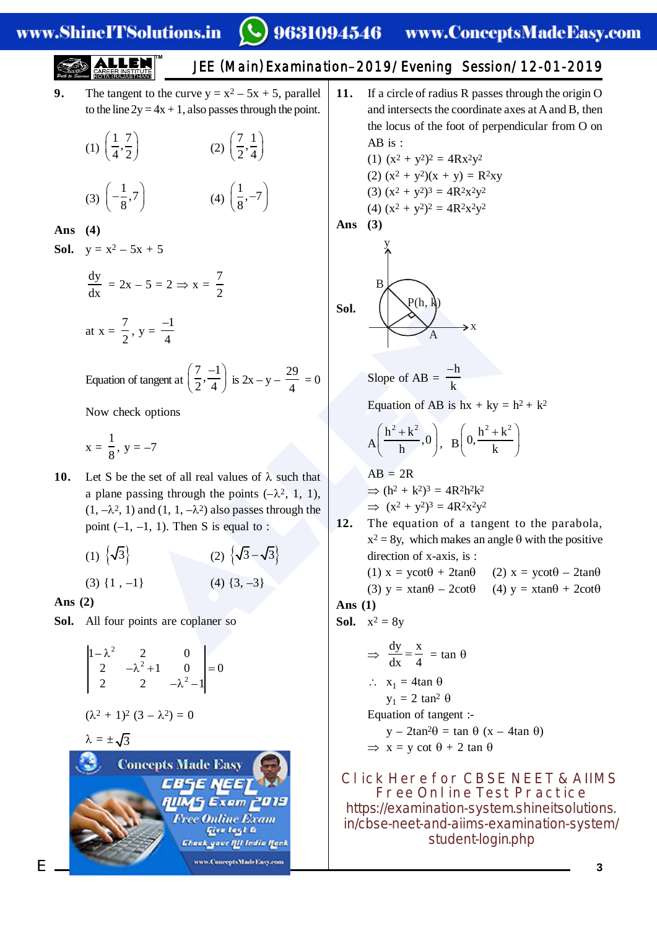**9.** The tangent to the curve  $y = x^2 - 5x + 5$ , parallel to the line  $2y = 4x + 1$ , also passes through the point.

$$
(1) \left(\frac{1}{4}, \frac{7}{2}\right) \qquad (2) \left(\frac{7}{2}, \frac{1}{4}\right)
$$
  

$$
(3) \left(-\frac{1}{8}, 7\right) \qquad (4) \left(\frac{1}{8}, -7\right)
$$

**Ans (4)**

**Sol.**  $y = x^2 - 5x + 5$ 

$$
\frac{dy}{dx} = 2x - 5 = 2 \Rightarrow x = \frac{7}{2}
$$
  
at  $x = \frac{7}{2}$ ,  $y = \frac{-1}{4}$ 

Equation of tangent at  $\left(\frac{7}{2}, \frac{-1}{4}\right)$  $\left(\frac{7}{2}, \frac{-1}{4}\right)$  is 2x – y –  $\frac{29}{4}$  = 0

Now check options

$$
x = \frac{1}{8}
$$
, y = -7

- $y = \frac{-1}{4}$ <br>
of tangent at  $(\frac{7}{2}, \frac{-1}{4})$  is  $2x y \frac{29}{4} = 0$ <br>  $= -7$ <br>
the set of all real values of  $\lambda$  such that<br>
assing through the points  $(-\lambda^2, 1, 1)$ <br>
and  $(1, 1, -\lambda^2)$  also passes through the<br>  $-1$ , 1). Then 10. Let S be the set of all real values of  $\lambda$  such that a plane passing through the points  $(-\lambda^2, 1, 1)$ ,  $(1, -\lambda^2, 1)$  and  $(1, 1, -\lambda^2)$  also passes through the point  $(-1, -1, 1)$ . Then S is equal to :
	- $(1) \ \{ \sqrt{3}$  $\left\{ \begin{array}{c} (2) \ \end{array} \right\} \sqrt{3} - \sqrt{3}$ (3)  $\{1, -1\}$  (4)  $\{3, -3\}$

**Ans (2)**

**Sol.** All four points are coplaner so

$$
\begin{vmatrix} 1 - \lambda^2 & 2 & 0 \\ 2 & -\lambda^2 + 1 & 0 \\ 2 & 2 & -\lambda^2 - 1 \end{vmatrix} = 0
$$

$$
(\lambda^2 + 1)^2 (3 - \lambda^2) = 0
$$

 $\lambda = \pm \sqrt{3}$ 



- JEE (Main ) Examination–2019/Evening Session/12-01-2019 **11.** If a circle of radius R passes through the origin O
	- and intersects the coordinate axes at A and B, then the locus of the foot of perpendicular from O on AB is :

(1) 
$$
(x^2 + y^2)^2 = 4Rx^2y^2
$$
  
\n(2)  $(x^2 + y^2)(x + y) = R^2xy$   
\n(3)  $(x^2 + y^2)^3 = 4R^2x^2y^2$   
\n(4)  $(x^2 + y^2)^2 = 4R^2x^2y^2$ 

**Ans (3)**

$$
\text{Sol.} \xrightarrow{B} \xrightarrow{P(h, h)} x
$$

Slope of AB = 
$$
\frac{-h}{k}
$$

Equation of AB is  $hx + ky = h^2 + k^2$ 

$$
A\left(\frac{h^2+k^2}{h},0\right), B\left(0,\frac{h^2+k^2}{k}\right)
$$

$$
AB = 2R
$$
  
\n
$$
\Rightarrow (h^2 + k^2)^3 = 4R^2h^2k^2
$$
  
\n
$$
\Rightarrow (x^2 + y^2)^3 = 4R^2x^2y^2
$$

**12.** The equation of a tangent to the parabola,  $x^2 = 8y$ , which makes an angle  $\theta$  with the positive direction of x-axis, is :

(1) 
$$
x = y\cot\theta + 2\tan\theta
$$
 (2)  $x = y\cot\theta - 2\tan\theta$   
(3)  $y = x\tan\theta - 2\cot\theta$  (4)  $y = x\tan\theta + 2\cot\theta$ 

$$
Ans (1)
$$

**Sol.** 
$$
x^2 = 8y
$$

$$
\Rightarrow \frac{dy}{dx} = \frac{x}{4} = \tan \theta
$$
  
\n
$$
\therefore x_1 = 4 \tan \theta
$$
  
\n
$$
y_1 = 2 \tan^2 \theta
$$
  
\nEquation of tangent :-  
\n
$$
y - 2 \tan^2 \theta = \tan \theta (x - 4 \tan \theta)
$$
  
\n
$$
\Rightarrow x = y \cot \theta + 2 \tan \theta
$$

**Click Here for CBSE NEET & AIIMS Free Online Test Practice** https://examination [-system.shineitsolutions.](https://examination-system.shineitsolutions.in/cbse-neet-and-aiims-examination-system/student-login.php) in/cbse-neet-and-aiims-examination-system/ student-login.php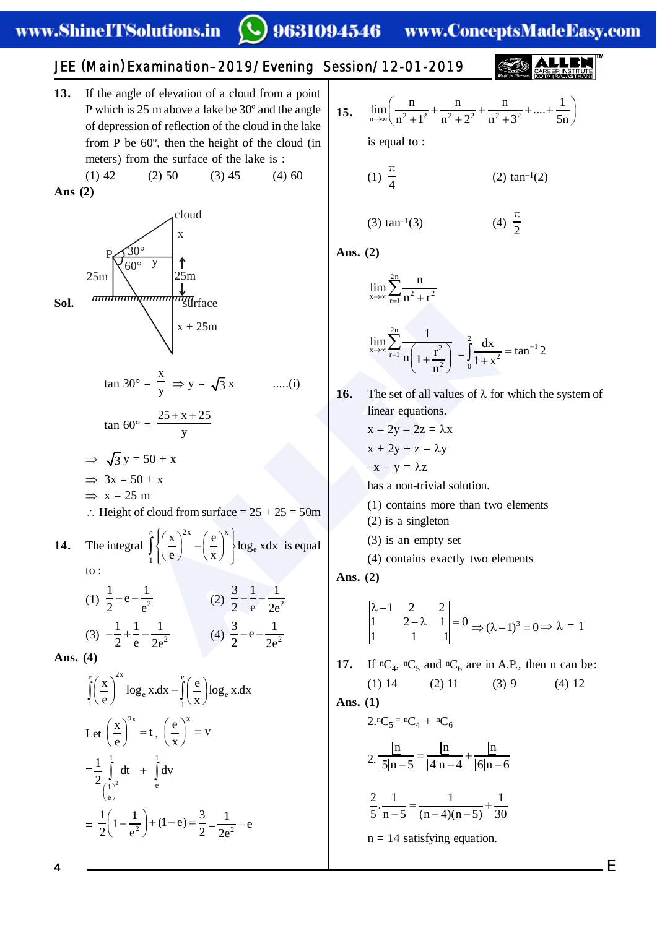9631094546 www.ConceptsMadeEasy.com

(4)  $\frac{\pi}{2}$ 

JEE (Main ) Examination–2019/Evening Session/12-01-2019

**13.** If the angle of elevation of a cloud from a point P which is 25 m above a lake be 30º and the angle of depression of reflection of the cloud in the lake from P be 60º, then the height of the cloud (in meters) from the surface of the lake is :  $(1)$  42  $(2)$  50  $(3)$  45  $(4)$  60

**Ans (2)**



15.  $\lim_{n\to\infty} \left( \frac{n}{n^2+1^2} + \frac{n}{n^2+2^2} + \frac{n}{n^2+3^2} + \dots + \frac{1}{5n^2+5^2} \right)$  $\lim_{n \to \infty} \left( \frac{n}{n^2 + 1^2} + \frac{n}{n^2 + 2^2} + \frac{n}{n^2 + 3^2} + \dots + \frac{1}{5n} \right)$ is equal to : (1)  $\frac{\pi}{4}$  $(2)$  tan<sup>-1</sup> $(2)$ 

(3)  $tan^{-1}(3)$ 

**Ans. (2)**

x

$$
\lim_{x\to\infty}\sum_{r=1}^{2n}\frac{n}{n^2+r^2}
$$

$$
\lim_{x \to \infty} \sum_{r=1}^{2n} \frac{1}{n \left(1 + \frac{r^2}{n^2}\right)} = \int_0^2 \frac{dx}{1 + x^2} = \tan^{-1} 2
$$

**16.** The set of all values of  $\lambda$  for which the system of linear equations.

$$
x - 2y - 2z = \lambda x
$$

$$
x + 2y + z = \lambda y
$$

$$
-x - y = \lambda z
$$

has a non-trivial solution.

- (1) contains more than two elements
- (2) is a singleton
- (3) is an empty set

(4) contains exactly two elements

**Ans. (2)**

$$
\begin{vmatrix} \lambda - 1 & 2 & 2 \\ 1 & 2 - \lambda & 1 \\ 1 & 1 & 1 \end{vmatrix} = 0 \Rightarrow (\lambda - 1)^3 = 0 \Rightarrow \lambda = 1
$$

**17.** If  ${}^nC_4$ ,  ${}^nC_5$  and  ${}^nC_6$  are in A.P., then n can be: (1) 14 (2) 11 (3) 9 (4) 12

**Ans. (1)**

$$
2.{}^{n}C_{5} = {}^{n}C_{4} + {}^{n}C_{6}
$$

$$
2. \frac{\ln}{\left|\underline{5}\right|n-5} = \frac{\ln}{\left|4\right|n-4} + \frac{\ln}{\left|6\right|n-6}
$$

$$
\frac{2}{5} \cdot \frac{1}{n-5} = \frac{1}{(n-4)(n-5)} + \frac{1}{30}
$$

 $n = 14$  satisfying equation.

**4**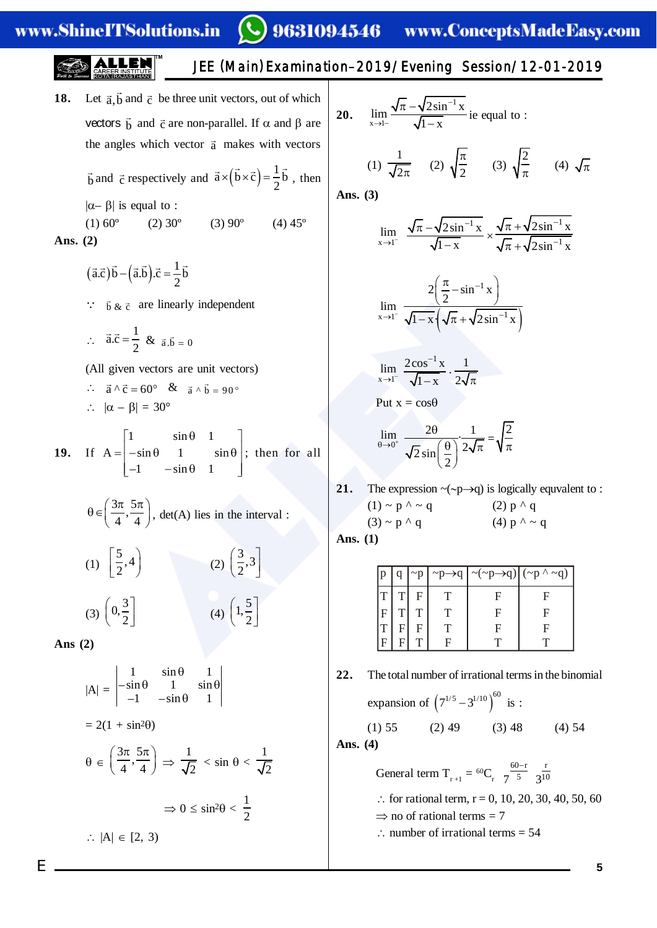# 9631094546 www.ConceptsMadeEasy.com

**18.** Let  $\vec{a}, \vec{b}$  and  $\vec{c}$  be three unit vectors, out of which vectors  $\vec{b}$  and  $\vec{c}$  are non-parallel. If  $\alpha$  and  $\beta$  are the angles which vector  $\vec{a}$  makes with vectors

 $\vec{b}$  and  $\vec{c}$  respectively and  $\vec{a} \times (\vec{b} \times \vec{c})$  $\vec{a} \times (\vec{b} \times \vec{c}) = \frac{1}{2} \vec{b}$ , then  $|\alpha-\beta|$  is equal to :

(1)  $60^{\circ}$  (2)  $30^{\circ}$  (3)  $90^{\circ}$  (4)  $45^{\circ}$ **Ans. (2)**

- $(\vec{a}.\vec{c})\vec{b} (\vec{a}.\vec{b})\cdot\vec{c} = \frac{1}{2}\vec{b}$
- $\therefore$  b  $\&\neq$  are linearly independent
- $\therefore$   $\vec{a}.\vec{c} = \frac{1}{2}$ 2  $\vec{a} \cdot \vec{c} = \frac{1}{2} \& \vec{a} \cdot \vec{b} = 0$

(All given vectors are unit vectors)

$$
\therefore \quad \vec{a} \wedge \vec{c} = 60^{\circ} \quad \& \quad \vec{a} \wedge \vec{b} = 90^{\circ}
$$

$$
\therefore \quad |\alpha - \beta| = 30^{\circ}
$$

**19.** If  $1 \sin \theta \quad 1$  $A = -\sin \theta$  1 sin  $-1$   $-\sin\theta$  1  $\begin{bmatrix} 1 & \sin \theta & 1 \end{bmatrix}$  $=$   $\begin{vmatrix} -\sin \theta & 1 \end{vmatrix}$   $\sin \theta$  ;  $\begin{bmatrix} -1 & -\sin \theta & 1 \end{bmatrix}$ ; then for all

$$
\theta \in \left(\frac{3\pi}{4}, \frac{5\pi}{4}\right)
$$
, det(A) lies in the interval :

$$
(1) \begin{bmatrix} 5 \\ 2 \\ 3 \end{bmatrix}
$$
\n
$$
(2) \begin{bmatrix} 3 \\ 2 \\ 3 \end{bmatrix}
$$
\n
$$
(3) \begin{bmatrix} 0 \\ 2 \\ 3 \end{bmatrix}
$$
\n
$$
(4) \begin{bmatrix} 1 \\ 2 \\ 2 \end{bmatrix}
$$

**Ans (2)**

$$
|A| = \begin{vmatrix} 1 & \sin \theta & 1 \\ -\sin \theta & 1 & \sin \theta \\ -1 & -\sin \theta & 1 \end{vmatrix}
$$
  
= 2(1 + \sin^2\theta)  

$$
\theta \in \left(\frac{3\pi}{4}, \frac{5\pi}{4}\right) \Rightarrow \frac{1}{\sqrt{2}} < \sin \theta < \frac{1}{\sqrt{2}}
$$
  

$$
\Rightarrow 0 \le \sin^2\theta < \frac{1}{2}
$$
  

$$
\therefore |A| \in [2, 3)
$$

20. 
$$
\lim_{x \to 1^{-}} \frac{\sqrt{\pi} - \sqrt{2\sin^{-1} x}}{\sqrt{1 - x}}
$$
ie equal to :

JEE (Main ) Examination–2019/Evening Session/12-01-2019

(1) 
$$
\frac{1}{\sqrt{2\pi}}
$$
 (2)  $\sqrt{\frac{\pi}{2}}$  (3)  $\sqrt{\frac{2}{\pi}}$  (4)  $\sqrt{\pi}$ 

**Ans. (3)**

$$
\lim_{x \to 1^{-}} \frac{\sqrt{\pi} - \sqrt{2\sin^{-1} x}}{\sqrt{1 - x}} \times \frac{\sqrt{\pi} + \sqrt{2\sin^{-1} x}}{\sqrt{\pi} + \sqrt{2\sin^{-1} x}}
$$

$$
\lim_{x \to 1^{-}} \frac{2\left(\frac{\pi}{2} - \sin^{-1} x\right)}{\sqrt{1 - x} \left(\sqrt{\pi} + \sqrt{2 \sin^{-1} x}\right)}
$$

$$
\lim_{x \to 1^-} \frac{2\cos^{-1} x}{\sqrt{1-x}} \cdot \frac{1}{2\sqrt{\pi}}
$$

Put 
$$
x = \cos\theta
$$

$$
\lim_{\theta \to 0^+} \frac{2\theta}{\sqrt{2}\sin\left(\frac{\theta}{2}\right)} \cdot \frac{1}{2\sqrt{\pi}} = \sqrt{\frac{2}{\pi}}
$$

**21.** The expression  $\sim(\sim p \rightarrow q)$  is logically equvalent to :  $(1) \sim p^{\Lambda} \sim q$  (2)  $p^{\Lambda} q$ (3) ~ p ^ q (4) p ^ ~ q

| are linearly independent                                                                       | $\lim_{x\to 1^-}\frac{2}{\sqrt{1-x}\left(\sqrt{\pi}+\sqrt{2\sin^{-1}x}\right)}$                                                       |             |    |                      |                                                         |                   |                                                                  |
|------------------------------------------------------------------------------------------------|---------------------------------------------------------------------------------------------------------------------------------------|-------------|----|----------------------|---------------------------------------------------------|-------------------|------------------------------------------------------------------|
| $\frac{1}{2}$ & $\vec{a}.\vec{b} = 0$                                                          |                                                                                                                                       |             |    |                      |                                                         |                   |                                                                  |
| n vectors are unit vectors)                                                                    | $\lim_{x\to 1^{-}} \frac{2\cos^{-1} x}{\sqrt{1-x}} \cdot \frac{1}{2\sqrt{\pi}}$                                                       |             |    |                      |                                                         |                   |                                                                  |
| $=60^{\circ}$ & $\vec{a} \wedge \vec{b} = 90^{\circ}$                                          |                                                                                                                                       |             |    | Put $x = cos \theta$ |                                                         |                   |                                                                  |
| $ 3  = 30^{\circ}$                                                                             |                                                                                                                                       |             |    |                      |                                                         |                   |                                                                  |
| $\sin \theta \quad 1$  <br>$-\sin\theta$ 1 $\sin\theta$ ; then for all<br>$-1$ $-\sin\theta$ 1 | $\lim_{\theta \to 0^+} \frac{2\theta}{\sqrt{2} \sin\left(\frac{\theta}{2}\right)} \cdot \frac{1}{2\sqrt{\pi}} = \sqrt{\frac{2}{\pi}}$ |             |    |                      |                                                         |                   |                                                                  |
|                                                                                                | 21.                                                                                                                                   |             |    |                      |                                                         |                   | The expression $\sim(\sim p \rightarrow q)$ is logically equvale |
| $\left(\frac{5\pi}{4}\right)$ , det(A) lies in the interval :                                  | $(1) \sim p^{\Lambda} \sim q$ (2) $p^{\Lambda} q$                                                                                     |             |    |                      |                                                         |                   |                                                                  |
|                                                                                                | $(3) \sim p \wedge q$ (4) $p \wedge \sim q$                                                                                           |             |    |                      |                                                         |                   |                                                                  |
|                                                                                                | Ans. $(1)$                                                                                                                            |             |    |                      |                                                         |                   |                                                                  |
| (2) $\left(\frac{3}{2},3\right)$<br>$\left  \cdot \right $                                     |                                                                                                                                       | p           | q  | $\sim p$             | $\neg p \rightarrow q$                                  | $\sim$ (~p→q)     | $({\sim}p \wedge {\sim}q)$                                       |
| (4) $\left(1, \frac{5}{2}\right)$                                                              |                                                                                                                                       | T           | T  | F <sub>1</sub>       | T -                                                     | $\mathbf{F}$      | $\mathbf{F}$                                                     |
|                                                                                                |                                                                                                                                       | $\mathbf F$ |    |                      | $\begin{array}{c c} T & T & T \\ F & F & T \end{array}$ | $\mathbf F$       | $\boldsymbol{\mathrm{F}}$                                        |
|                                                                                                |                                                                                                                                       | T<br>F      | FI | T                    | $\mathbf{F}$                                            | $\mathbf{F}$<br>T | $\boldsymbol{\mathrm{F}}$<br>$\mathbf T$                         |
|                                                                                                |                                                                                                                                       |             |    |                      |                                                         |                   |                                                                  |

**22.** The total number of irrational terms in the binomial

expansion of 
$$
\left(7^{1/5} - 3^{1/10}\right)^{60}
$$
 is :  
(1) 55 (2) 49 (3) 48 (4) 54

**Ans. (4)**

General term  $T_{r+1} = {}^{60}C_r \frac{60-r}{7}$ 5 7  $-r$  r 3<sup>10</sup>

 $\therefore$  for rational term, r = 0, 10, 20, 30, 40, 50, 60  $\Rightarrow$  no of rational terms = 7

 $\therefore$  number of irrational terms = 54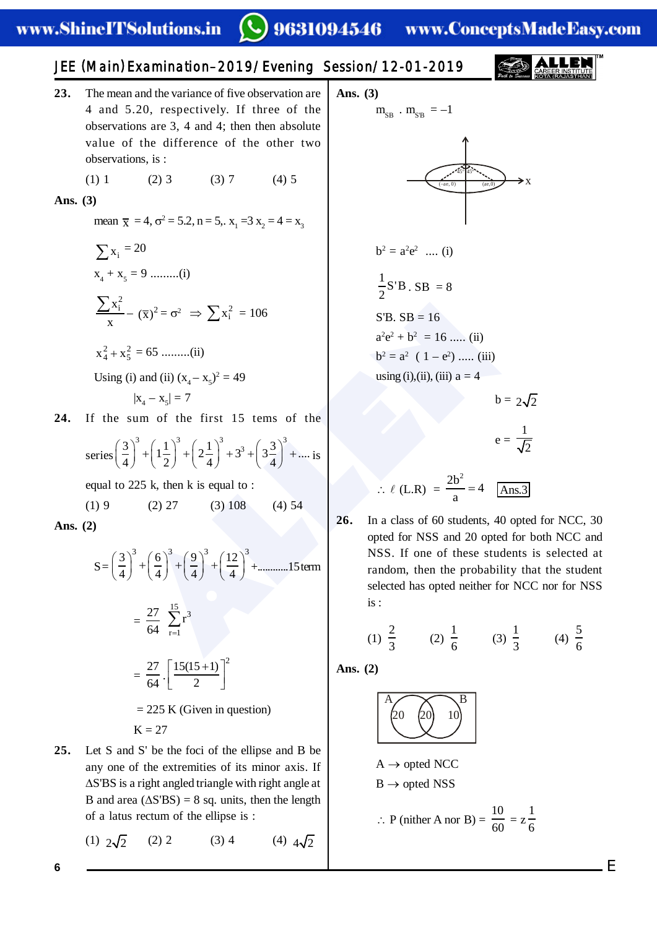# 9631094546 www.ConceptsMadeEasy.com

# JEE (Main ) Examination–2019/Evening Session/12-01-2019

- **23.** The mean and the variance of five observation are 4 and 5.20, respectively. If three of the observations are 3, 4 and 4; then then absolute value of the difference of the other two observations, is :
	- (1) 1 (2) 3 (3) 7 (4) 5

**Ans. (3)**

mean  $\bar{x} = 4$ ,  $\sigma^2 = 5.2$ ,  $n = 5$ ,.  $x_1 = 3$ ,  $x_2 = 4 = x_3$ 

 $\sum x_i = 20$  $x_4 + x_5 = 9$  .........(i)  $\frac{\sum x_i^2}{x}$  $(\overline{x})^2 = \sigma^2 \implies \sum x_i^2 = 106$  $x_4^2 + x_5^2 = 65$  .........(ii)

Using (i) and (ii)  $(x_4 - x_5)^2 = 49$ 

$$
|\mathbf{x}_4 - \mathbf{x}_5| = 7
$$

**24.** If the sum of the first 15 tems of the

series 
$$
\left(\frac{3}{4}\right)^3 + \left(1\frac{1}{2}\right)^3 + \left(2\frac{1}{4}\right)^3 + 3^3 + \left(3\frac{3}{4}\right)^3 + \dots
$$
 is

equal to 225 k, then k is equal to :

 $(1) 9$   $(2) 27$   $(3) 108$   $(4) 54$ **Ans. (2)**

$$
Ans. (2)
$$

$$
S = \left(\frac{3}{4}\right)^3 + \left(\frac{6}{4}\right)^3 + \left(\frac{9}{4}\right)^3 + \left(\frac{12}{4}\right)^3 + \dots \dots \dots 15 \text{ term}
$$

$$
= \frac{27}{64} \sum_{r=1}^{15} r^3
$$
  
=  $\frac{27}{64} \cdot \left[ \frac{15(15+1)}{2} \right]^2$   
= 225 K (Given in question)  
K = 27

**25.** Let S and S' be the foci of the ellipse and B be any one of the extremities of its minor axis. If  $\Delta$ S'BS is a right angled triangle with right angle at B and area  $(\Delta S'BS) = 8$  sq. units, then the length of a latus rectum of the ellipse is :

(1)  $2\sqrt{2}$  (2) 2 (3) 4 (4)  $4\sqrt{2}$ 

**Ans. (3)**

 $m_{SB}$  .  $m_{SB} = -1$ 



$$
b^2 = a^2 e^2 \ \ldots \ (i)
$$

$$
\frac{1}{2}S'B \cdot SB = 8
$$

 $S'B. SB = 16$  $a^2e^2 + b^2 = 16$  ..... (ii)  $b^2 = a^2 (1 - e^2) \dots$  (iii)

using (i),(ii), (iii)  $a = 4$ 

 $b = 2\sqrt{2}$  $e = \frac{1}{\sqrt{2}}$ 

$$
\therefore \ell \text{ (L.R)} = \frac{2b^2}{a} = 4 \quad \boxed{\text{Ans.3}}
$$

-  $(\overline{x})^2 = \sigma^2$   $\Rightarrow \sum x_i^2 = 106$ <br>
SB. SB = 16<br>
SB. SB = 16<br>
SB. SB = 16<br>
SB. SB = 16<br>
SB. SB = 16<br>
SB. SB = 16<br>
SB. SB = 16<br>
SB. SB = 16<br>
SB. SB = 16<br>
SB. SB = 16<br>
SB. SB = 16<br>
SB. SB = 16<br>
SB. SB = 16<br>
SB. SB = 16<br>
SB. **26.** In a class of 60 students, 40 opted for NCC, 30 opted for NSS and 20 opted for both NCC and NSS. If one of these students is selected at random, then the probability that the student selected has opted neither for NCC nor for NSS is :

(1) 
$$
\frac{2}{3}
$$
 (2)  $\frac{1}{6}$  (3)  $\frac{1}{3}$  (4)  $\frac{5}{6}$ 

**Ans. (2)**

$$
\begin{pmatrix} A & & & B \\ 20 & 20 & 10 \end{pmatrix}
$$

$$
A \rightarrow \text{opted NCC}
$$
  

$$
B \rightarrow \text{opted NSS}
$$

$$
\therefore P \text{ (nither A nor B)} = \frac{10}{60} = z \frac{1}{6}
$$

**6**